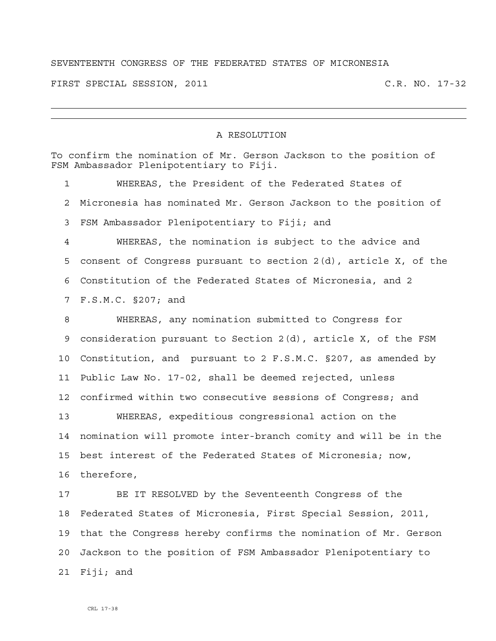## SEVENTEENTH CONGRESS OF THE FEDERATED STATES OF MICRONESIA

FIRST SPECIAL SESSION, 2011 C.R. NO. 17-32

## A RESOLUTION

| To confirm the nomination of Mr. Gerson Jackson to the position of<br>FSM Ambassador Plenipotentiary to Fiji. |                                                                 |
|---------------------------------------------------------------------------------------------------------------|-----------------------------------------------------------------|
| $\mathbf{1}$                                                                                                  | WHEREAS, the President of the Federated States of               |
| 2                                                                                                             | Micronesia has nominated Mr. Gerson Jackson to the position of  |
| 3                                                                                                             | FSM Ambassador Plenipotentiary to Fiji; and                     |
| 4                                                                                                             | WHEREAS, the nomination is subject to the advice and            |
| 5                                                                                                             | consent of Congress pursuant to section 2(d), article X, of the |
| 6                                                                                                             | Constitution of the Federated States of Micronesia, and 2       |
| 7                                                                                                             | F.S.M.C. §207; and                                              |
| 8                                                                                                             | WHEREAS, any nomination submitted to Congress for               |
| 9                                                                                                             | consideration pursuant to Section 2(d), article X, of the FSM   |
| 10                                                                                                            | Constitution, and pursuant to 2 F.S.M.C. §207, as amended by    |
| 11                                                                                                            | Public Law No. 17-02, shall be deemed rejected, unless          |
| 12                                                                                                            | confirmed within two consecutive sessions of Congress; and      |
| 13                                                                                                            | WHEREAS, expeditious congressional action on the                |
| 14                                                                                                            | nomination will promote inter-branch comity and will be in the  |
| 15                                                                                                            | best interest of the Federated States of Micronesia; now,       |
| 16                                                                                                            | therefore,                                                      |
| 17                                                                                                            | BE IT RESOLVED by the Seventeenth Congress of the               |
| 18                                                                                                            | Federated States of Micronesia, First Special Session, 2011,    |
| 19                                                                                                            | that the Congress hereby confirms the nomination of Mr. Gerson  |
| 20                                                                                                            | Jackson to the position of FSM Ambassador Plenipotentiary to    |
| 21                                                                                                            | $F i j i;$ and                                                  |